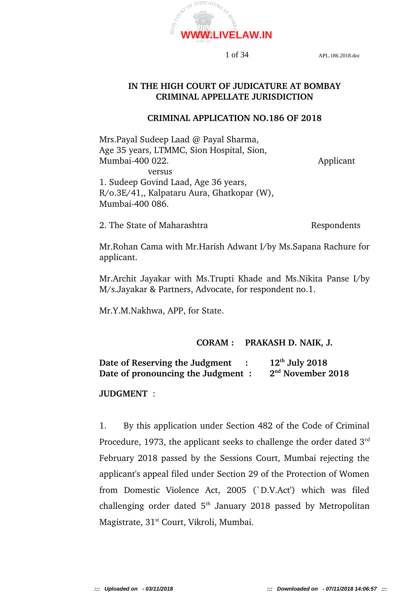

# **IN THE HIGH COURT OF JUDICATURE AT BOMBAY CRIMINAL APPELLATE JURISDICTION**

### **CRIMINAL APPLICATION NO.186 OF 2018**

Mrs.Payal Sudeep Laad @ Payal Sharma, Age 35 years, LTMMC, Sion Hospital, Sion, Mumbai-400 022. Applicant versus 1. Sudeep Govind Laad, Age 36 years, R/o.3E/41,, Kalpataru Aura, Ghatkopar (W), Mumbai-400 086.

2. The State of Maharashtra Respondents

Mr.Rohan Cama with Mr.Harish Adwant I/by Ms.Sapana Rachure for applicant.

Mr.Archit Jayakar with Ms.Trupti Khade and Ms.Nikita Panse I/by M/s.Jayakar & Partners, Advocate, for respondent no.1.

Mr.Y.M.Nakhwa, APP, for State.

# **CORAM : PRAKASH D. NAIK, J.**

| Date of Reserving the Judgment     | $12th$ July 2018              |
|------------------------------------|-------------------------------|
| Date of pronouncing the Judgment : | 2 <sup>nd</sup> November 2018 |

# **JUDGMENT**  :

1. By this application under Section 482 of the Code of Criminal Procedure, 1973, the applicant seeks to challenge the order dated  $3<sup>rd</sup>$ February 2018 passed by the Sessions Court, Mumbai rejecting the applicant's appeal filed under Section 29 of the Protection of Women from Domestic Violence Act, 2005 (`D.V.Act') which was filed challenging order dated  $5<sup>th</sup>$  January 2018 passed by Metropolitan Magistrate, 31<sup>st</sup> Court, Vikroli, Mumbai.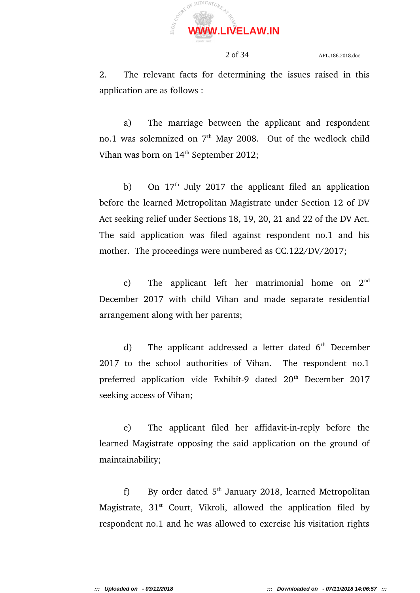

2. The relevant facts for determining the issues raised in this application are as follows :

a) The marriage between the applicant and respondent no.1 was solemnized on  $7<sup>th</sup>$  May 2008. Out of the wedlock child Vihan was born on  $14<sup>th</sup>$  September 2012;

b) On  $17<sup>th</sup>$  July 2017 the applicant filed an application before the learned Metropolitan Magistrate under Section 12 of DV Act seeking relief under Sections 18, 19, 20, 21 and 22 of the DV Act. The said application was filed against respondent no.1 and his mother. The proceedings were numbered as CC.122/DV/2017;

c) The applicant left her matrimonial home on  $2<sup>nd</sup>$ December 2017 with child Vihan and made separate residential arrangement along with her parents;

d) The applicant addressed a letter dated  $6<sup>th</sup>$  December 2017 to the school authorities of Vihan. The respondent no.1 preferred application vide Exhibit-9 dated 20<sup>th</sup> December 2017 seeking access of Vihan;

e) The applicant filed her affidavit-in-reply before the learned Magistrate opposing the said application on the ground of maintainability;

f) By order dated  $5<sup>th</sup>$  January 2018, learned Metropolitan Magistrate,  $31^{st}$  Court, Vikroli, allowed the application filed by respondent no.1 and he was allowed to exercise his visitation rights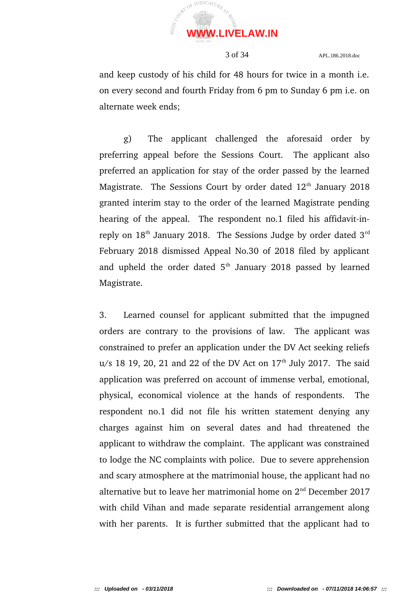

and keep custody of his child for 48 hours for twice in a month i.e. on every second and fourth Friday from 6 pm to Sunday 6 pm i.e. on alternate week ends;

g) The applicant challenged the aforesaid order by preferring appeal before the Sessions Court. The applicant also preferred an application for stay of the order passed by the learned Magistrate. The Sessions Court by order dated  $12<sup>th</sup>$  January 2018 granted interim stay to the order of the learned Magistrate pending hearing of the appeal. The respondent no.1 filed his affidavit-inreply on  $18<sup>th</sup>$  January 2018. The Sessions Judge by order dated  $3<sup>rd</sup>$ February 2018 dismissed Appeal No.30 of 2018 filed by applicant and upheld the order dated  $5<sup>th</sup>$  January 2018 passed by learned Magistrate.

3. Learned counsel for applicant submitted that the impugned orders are contrary to the provisions of law. The applicant was constrained to prefer an application under the DV Act seeking reliefs  $u/s$  18 19, 20, 21 and 22 of the DV Act on  $17<sup>th</sup>$  July 2017. The said application was preferred on account of immense verbal, emotional, physical, economical violence at the hands of respondents. The respondent no.1 did not file his written statement denying any charges against him on several dates and had threatened the applicant to withdraw the complaint. The applicant was constrained to lodge the NC complaints with police. Due to severe apprehension and scary atmosphere at the matrimonial house, the applicant had no alternative but to leave her matrimonial home on  $2<sup>nd</sup>$  December 2017 with child Vihan and made separate residential arrangement along with her parents. It is further submitted that the applicant had to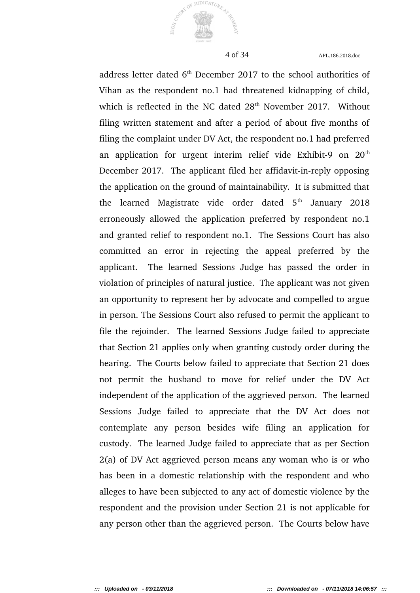

JUDICATURA

 $\Omega$ 

4 of 34 APL.186.2018.doc

address letter dated  $6<sup>th</sup>$  December 2017 to the school authorities of Vihan as the respondent no.1 had threatened kidnapping of child, which is reflected in the NC dated  $28<sup>th</sup>$  November 2017. Without filing written statement and after a period of about five months of filing the complaint under DV Act, the respondent no.1 had preferred an application for urgent interim relief vide Exhibit-9 on  $20<sup>th</sup>$ December 2017. The applicant filed her affidavit-in-reply opposing the application on the ground of maintainability. It is submitted that the learned Magistrate vide order dated  $5<sup>th</sup>$  January 2018 erroneously allowed the application preferred by respondent no.1 and granted relief to respondent no.1. The Sessions Court has also committed an error in rejecting the appeal preferred by the applicant. The learned Sessions Judge has passed the order in violation of principles of natural justice. The applicant was not given an opportunity to represent her by advocate and compelled to argue in person. The Sessions Court also refused to permit the applicant to file the rejoinder. The learned Sessions Judge failed to appreciate that Section 21 applies only when granting custody order during the hearing. The Courts below failed to appreciate that Section 21 does not permit the husband to move for relief under the DV Act independent of the application of the aggrieved person. The learned Sessions Judge failed to appreciate that the DV Act does not contemplate any person besides wife filing an application for custody. The learned Judge failed to appreciate that as per Section 2(a) of DV Act aggrieved person means any woman who is or who has been in a domestic relationship with the respondent and who alleges to have been subjected to any act of domestic violence by the respondent and the provision under Section 21 is not applicable for any person other than the aggrieved person. The Courts below have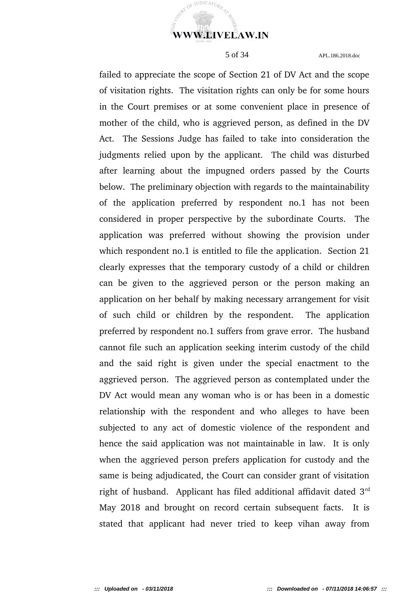

failed to appreciate the scope of Section 21 of DV Act and the scope of visitation rights. The visitation rights can only be for some hours in the Court premises or at some convenient place in presence of mother of the child, who is aggrieved person, as defined in the DV Act. The Sessions Judge has failed to take into consideration the judgments relied upon by the applicant. The child was disturbed after learning about the impugned orders passed by the Courts below. The preliminary objection with regards to the maintainability of the application preferred by respondent no.1 has not been considered in proper perspective by the subordinate Courts. The application was preferred without showing the provision under which respondent no.1 is entitled to file the application. Section 21 clearly expresses that the temporary custody of a child or children can be given to the aggrieved person or the person making an application on her behalf by making necessary arrangement for visit of such child or children by the respondent. The application preferred by respondent no.1 suffers from grave error. The husband cannot file such an application seeking interim custody of the child and the said right is given under the special enactment to the aggrieved person. The aggrieved person as contemplated under the DV Act would mean any woman who is or has been in a domestic relationship with the respondent and who alleges to have been subjected to any act of domestic violence of the respondent and hence the said application was not maintainable in law. It is only when the aggrieved person prefers application for custody and the same is being adjudicated, the Court can consider grant of visitation right of husband. Applicant has filed additional affidavit dated  $3<sup>rd</sup>$ May 2018 and brought on record certain subsequent facts. It is stated that applicant had never tried to keep vihan away from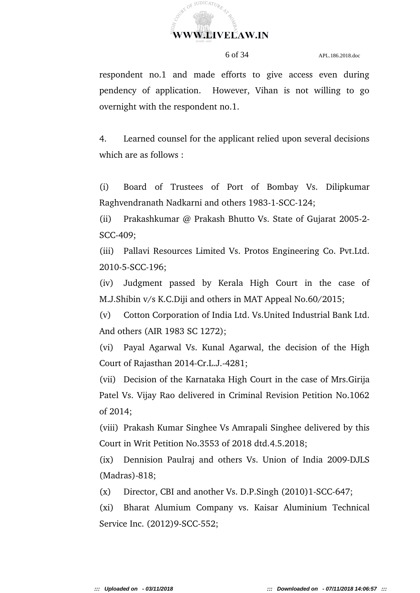

respondent no.1 and made efforts to give access even during pendency of application. However, Vihan is not willing to go overnight with the respondent no.1.

4. Learned counsel for the applicant relied upon several decisions which are as follows :

(i) Board of Trustees of Port of Bombay Vs. Dilipkumar Raghvendranath Nadkarni and others 1983-1-SCC-124;

(ii) Prakashkumar @ Prakash Bhutto Vs. State of Gujarat 2005-2-SCC-409;

(iii) Pallavi Resources Limited Vs. Protos Engineering Co. Pvt.Ltd. 2010-5-SCC-196;

(iv) Judgment passed by Kerala High Court in the case of M.J.Shibin v/s K.C.Diji and others in MAT Appeal No.60/2015;

(v) Cotton Corporation of India Ltd. Vs.United Industrial Bank Ltd. And others (AIR 1983 SC 1272);

(vi) Payal Agarwal Vs. Kunal Agarwal, the decision of the High Court of Rajasthan 2014-Cr.L.J.-4281;

(vii) Decision of the Karnataka High Court in the case of Mrs.Girija Patel Vs. Vijay Rao delivered in Criminal Revision Petition No.1062 of 2014;

(viii) Prakash Kumar Singhee Vs Amrapali Singhee delivered by this Court in Writ Petition No.3553 of 2018 dtd.4.5.2018;

(ix) Dennision Paulraj and others Vs. Union of India 2009-DJLS  $(Madras) - 818;$ 

 $(x)$  Director, CBI and another Vs. D.P.Singh  $(2010)1$ -SCC-647;

(xi) Bharat Alumium Company vs. Kaisar Aluminium Technical Service Inc. (2012)9-SCC-552;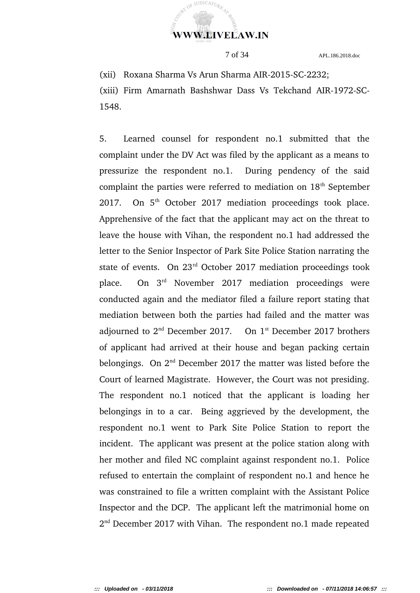

(xii) Roxana Sharma Vs Arun Sharma AIR-2015-SC-2232;

(xiii) Firm Amarnath Bashshwar Dass Vs Tekchand AIR-1972-SC-1548.

5. Learned counsel for respondent no.1 submitted that the complaint under the DV Act was filed by the applicant as a means to pressurize the respondent no.1. During pendency of the said complaint the parties were referred to mediation on  $18<sup>th</sup>$  September 2017. On  $5<sup>th</sup>$  October 2017 mediation proceedings took place. Apprehensive of the fact that the applicant may act on the threat to leave the house with Vihan, the respondent no.1 had addressed the letter to the Senior Inspector of Park Site Police Station narrating the state of events. On 23<sup>rd</sup> October 2017 mediation proceedings took place. On  $3<sup>rd</sup>$  November 2017 mediation proceedings were conducted again and the mediator filed a failure report stating that mediation between both the parties had failed and the matter was adjourned to  $2<sup>nd</sup>$  December 2017. On  $1<sup>st</sup>$  December 2017 brothers of applicant had arrived at their house and began packing certain belongings. On  $2<sup>nd</sup>$  December 2017 the matter was listed before the Court of learned Magistrate. However, the Court was not presiding. The respondent no.1 noticed that the applicant is loading her belongings in to a car. Being aggrieved by the development, the respondent no.1 went to Park Site Police Station to report the incident. The applicant was present at the police station along with her mother and filed NC complaint against respondent no.1. Police refused to entertain the complaint of respondent no.1 and hence he was constrained to file a written complaint with the Assistant Police Inspector and the DCP. The applicant left the matrimonial home on 2<sup>nd</sup> December 2017 with Vihan. The respondent no.1 made repeated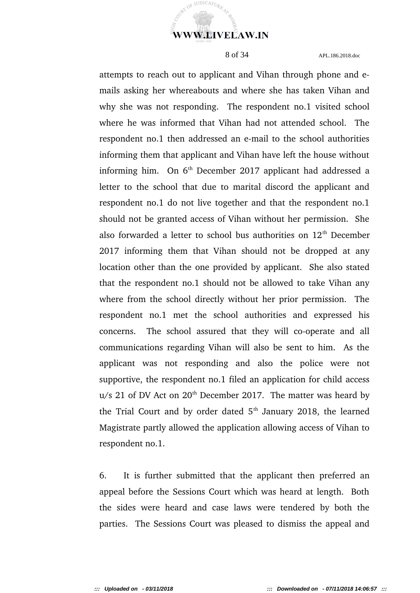

attempts to reach out to applicant and Vihan through phone and emails asking her whereabouts and where she has taken Vihan and why she was not responding. The respondent no.1 visited school where he was informed that Vihan had not attended school. The respondent no.1 then addressed an e-mail to the school authorities informing them that applicant and Vihan have left the house without informing him. On  $6<sup>th</sup>$  December 2017 applicant had addressed a letter to the school that due to marital discord the applicant and respondent no.1 do not live together and that the respondent no.1 should not be granted access of Vihan without her permission. She also forwarded a letter to school bus authorities on  $12<sup>th</sup>$  December 2017 informing them that Vihan should not be dropped at any location other than the one provided by applicant. She also stated that the respondent no.1 should not be allowed to take Vihan any where from the school directly without her prior permission. The respondent no.1 met the school authorities and expressed his concerns. The school assured that they will co-operate and all communications regarding Vihan will also be sent to him. As the applicant was not responding and also the police were not supportive, the respondent no.1 filed an application for child access  $u/s$  21 of DV Act on 20<sup>th</sup> December 2017. The matter was heard by the Trial Court and by order dated  $5<sup>th</sup>$  January 2018, the learned Magistrate partly allowed the application allowing access of Vihan to respondent no.1.

6. It is further submitted that the applicant then preferred an appeal before the Sessions Court which was heard at length. Both the sides were heard and case laws were tendered by both the parties. The Sessions Court was pleased to dismiss the appeal and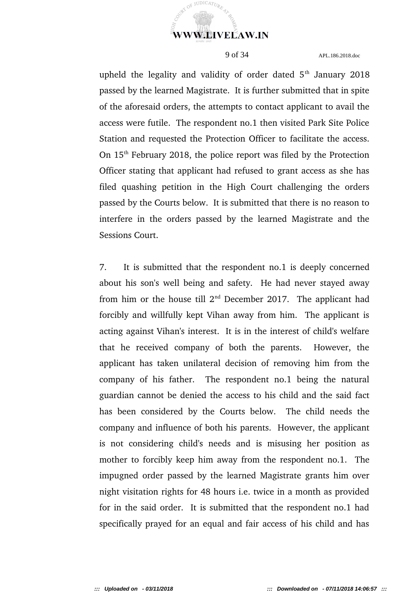

upheld the legality and validity of order dated  $5<sup>th</sup>$  January 2018 passed by the learned Magistrate. It is further submitted that in spite of the aforesaid orders, the attempts to contact applicant to avail the access were futile. The respondent no.1 then visited Park Site Police Station and requested the Protection Officer to facilitate the access. On  $15<sup>th</sup>$  February 2018, the police report was filed by the Protection Officer stating that applicant had refused to grant access as she has filed quashing petition in the High Court challenging the orders passed by the Courts below. It is submitted that there is no reason to interfere in the orders passed by the learned Magistrate and the Sessions Court.

7. It is submitted that the respondent no.1 is deeply concerned about his son's well being and safety. He had never stayed away from him or the house till  $2<sup>nd</sup>$  December 2017. The applicant had forcibly and willfully kept Vihan away from him. The applicant is acting against Vihan's interest. It is in the interest of child's welfare that he received company of both the parents. However, the applicant has taken unilateral decision of removing him from the company of his father. The respondent no.1 being the natural guardian cannot be denied the access to his child and the said fact has been considered by the Courts below. The child needs the company and influence of both his parents. However, the applicant is not considering child's needs and is misusing her position as mother to forcibly keep him away from the respondent no.1. The impugned order passed by the learned Magistrate grants him over night visitation rights for 48 hours i.e. twice in a month as provided for in the said order. It is submitted that the respondent no.1 had specifically prayed for an equal and fair access of his child and has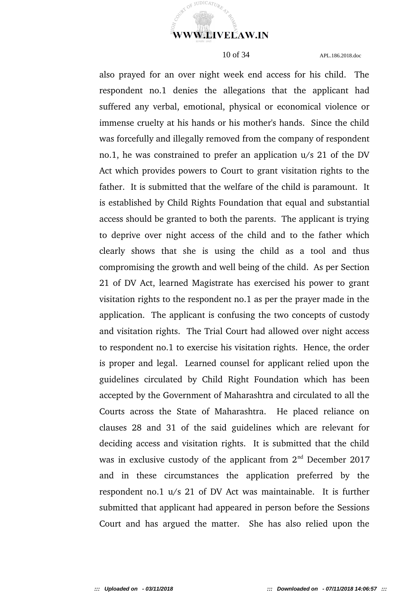

JUDICATUR.

RT OF

10 of 34 APL.186.2018.doc

also prayed for an over night week end access for his child. The respondent no.1 denies the allegations that the applicant had suffered any verbal, emotional, physical or economical violence or immense cruelty at his hands or his mother's hands. Since the child was forcefully and illegally removed from the company of respondent no.1, he was constrained to prefer an application u/s 21 of the DV Act which provides powers to Court to grant visitation rights to the father. It is submitted that the welfare of the child is paramount. It is established by Child Rights Foundation that equal and substantial access should be granted to both the parents. The applicant is trying to deprive over night access of the child and to the father which clearly shows that she is using the child as a tool and thus compromising the growth and well being of the child. As per Section 21 of DV Act, learned Magistrate has exercised his power to grant visitation rights to the respondent no.1 as per the prayer made in the application. The applicant is confusing the two concepts of custody and visitation rights. The Trial Court had allowed over night access to respondent no.1 to exercise his visitation rights. Hence, the order is proper and legal. Learned counsel for applicant relied upon the guidelines circulated by Child Right Foundation which has been accepted by the Government of Maharashtra and circulated to all the Courts across the State of Maharashtra. He placed reliance on clauses 28 and 31 of the said guidelines which are relevant for deciding access and visitation rights. It is submitted that the child was in exclusive custody of the applicant from  $2<sup>nd</sup>$  December 2017 and in these circumstances the application preferred by the respondent no.1 u/s 21 of DV Act was maintainable. It is further submitted that applicant had appeared in person before the Sessions Court and has argued the matter. She has also relied upon the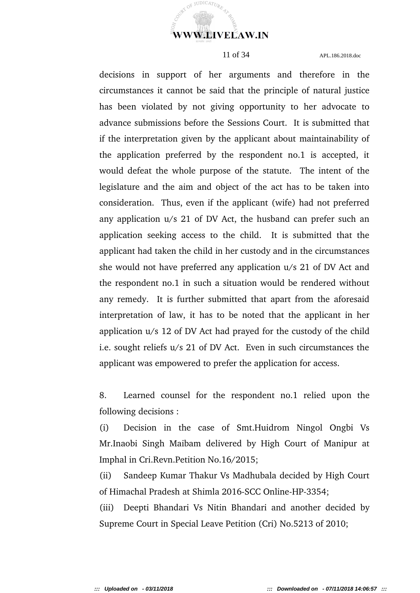

decisions in support of her arguments and therefore in the circumstances it cannot be said that the principle of natural justice has been violated by not giving opportunity to her advocate to advance submissions before the Sessions Court. It is submitted that if the interpretation given by the applicant about maintainability of the application preferred by the respondent no.1 is accepted, it would defeat the whole purpose of the statute. The intent of the legislature and the aim and object of the act has to be taken into consideration. Thus, even if the applicant (wife) had not preferred any application u/s 21 of DV Act, the husband can prefer such an application seeking access to the child. It is submitted that the applicant had taken the child in her custody and in the circumstances she would not have preferred any application u/s 21 of DV Act and the respondent no.1 in such a situation would be rendered without any remedy. It is further submitted that apart from the aforesaid interpretation of law, it has to be noted that the applicant in her application u/s 12 of DV Act had prayed for the custody of the child i.e. sought reliefs u/s 21 of DV Act. Even in such circumstances the applicant was empowered to prefer the application for access.

8. Learned counsel for the respondent no.1 relied upon the following decisions :

(i) Decision in the case of Smt.Huidrom Ningol Ongbi Vs Mr.Inaobi Singh Maibam delivered by High Court of Manipur at Imphal in Cri.Revn.Petition No.16/2015;

(ii) Sandeep Kumar Thakur Vs Madhubala decided by High Court of Himachal Pradesh at Shimla 2016-SCC Online-HP-3354;

(iii) Deepti Bhandari Vs Nitin Bhandari and another decided by Supreme Court in Special Leave Petition (Cri) No.5213 of 2010;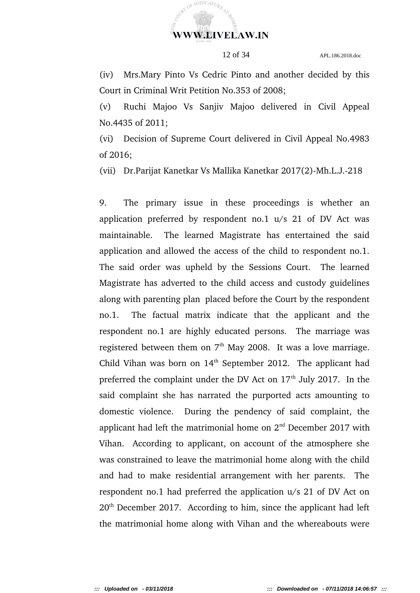

(iv) Mrs.Mary Pinto Vs Cedric Pinto and another decided by this Court in Criminal Writ Petition No.353 of 2008;

(v) Ruchi Majoo Vs Sanjiv Majoo delivered in Civil Appeal No.4435 of 2011;

(vi) Decision of Supreme Court delivered in Civil Appeal No.4983 of 2016;

(vii) Dr.Parijat Kanetkar Vs Mallika Kanetkar 2017(2)-Mh.L.J.-218

9. The primary issue in these proceedings is whether an application preferred by respondent  $\pi$  no.1  $\pi$  u/s 21 of DV Act was maintainable. The learned Magistrate has entertained the said application and allowed the access of the child to respondent no.1. The said order was upheld by the Sessions Court. The learned Magistrate has adverted to the child access and custody guidelines along with parenting plan placed before the Court by the respondent no.1. The factual matrix indicate that the applicant and the respondent no.1 are highly educated persons. The marriage was registered between them on  $7<sup>th</sup>$  May 2008. It was a love marriage. Child Vihan was born on  $14<sup>th</sup>$  September 2012. The applicant had preferred the complaint under the DV Act on  $17<sup>th</sup>$  July 2017. In the said complaint she has narrated the purported acts amounting to domestic violence. During the pendency of said complaint, the applicant had left the matrimonial home on  $2<sup>nd</sup>$  December 2017 with Vihan. According to applicant, on account of the atmosphere she was constrained to leave the matrimonial home along with the child and had to make residential arrangement with her parents. The respondent no.1 had preferred the application u/s 21 of DV Act on  $20<sup>th</sup>$  December 2017. According to him, since the applicant had left the matrimonial home along with Vihan and the whereabouts were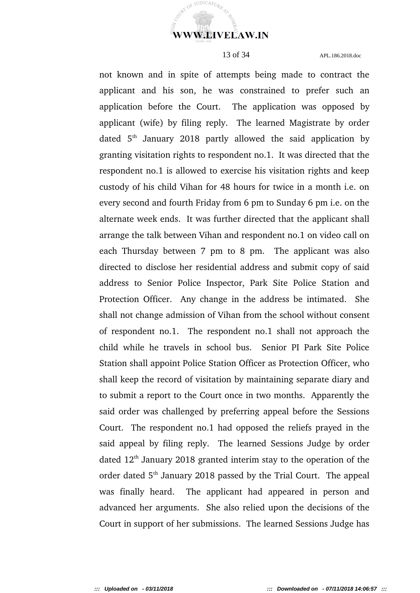

**JUDICATUR** 

 $\mathrm{O}^{\widehat{\mathrm{F}}}$ 

13 of 34 APL.186.2018.doc

not known and in spite of attempts being made to contract the applicant and his son, he was constrained to prefer such an application before the Court. The application was opposed by applicant (wife) by filing reply. The learned Magistrate by order dated  $5<sup>th</sup>$  January 2018 partly allowed the said application by granting visitation rights to respondent no.1. It was directed that the respondent no.1 is allowed to exercise his visitation rights and keep custody of his child Vihan for 48 hours for twice in a month i.e. on every second and fourth Friday from 6 pm to Sunday 6 pm i.e. on the alternate week ends. It was further directed that the applicant shall arrange the talk between Vihan and respondent no.1 on video call on each Thursday between 7 pm to 8 pm. The applicant was also directed to disclose her residential address and submit copy of said address to Senior Police Inspector, Park Site Police Station and Protection Officer. Any change in the address be intimated. She shall not change admission of Vihan from the school without consent of respondent no.1. The respondent no.1 shall not approach the child while he travels in school bus. Senior PI Park Site Police Station shall appoint Police Station Officer as Protection Officer, who shall keep the record of visitation by maintaining separate diary and to submit a report to the Court once in two months. Apparently the said order was challenged by preferring appeal before the Sessions Court. The respondent no.1 had opposed the reliefs prayed in the said appeal by filing reply. The learned Sessions Judge by order dated  $12<sup>th</sup>$  January 2018 granted interim stay to the operation of the order dated  $5<sup>th</sup>$  January 2018 passed by the Trial Court. The appeal was finally heard. The applicant had appeared in person and advanced her arguments. She also relied upon the decisions of the Court in support of her submissions. The learned Sessions Judge has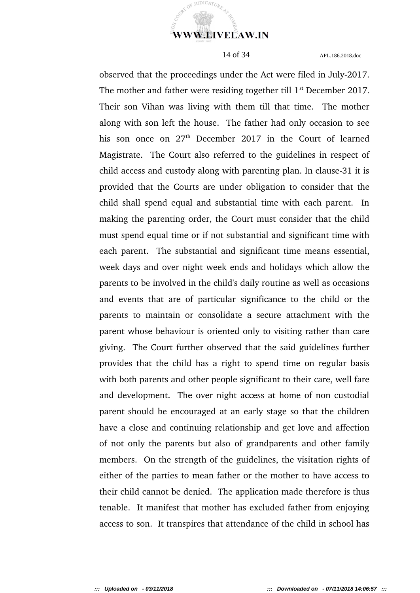

JUDICAT<sub>II</sub>

 $\Omega$ 

14 of 34 APL.186.2018.doc

observed that the proceedings under the Act were filed in July-2017. The mother and father were residing together till  $1<sup>st</sup>$  December 2017. Their son Vihan was living with them till that time. The mother along with son left the house. The father had only occasion to see his son once on  $27<sup>th</sup>$  December 2017 in the Court of learned Magistrate. The Court also referred to the guidelines in respect of child access and custody along with parenting plan. In clause-31 it is provided that the Courts are under obligation to consider that the child shall spend equal and substantial time with each parent. In making the parenting order, the Court must consider that the child must spend equal time or if not substantial and significant time with each parent. The substantial and significant time means essential, week days and over night week ends and holidays which allow the parents to be involved in the child's daily routine as well as occasions and events that are of particular significance to the child or the parents to maintain or consolidate a secure attachment with the parent whose behaviour is oriented only to visiting rather than care giving. The Court further observed that the said guidelines further provides that the child has a right to spend time on regular basis with both parents and other people significant to their care, well fare and development. The over night access at home of non custodial parent should be encouraged at an early stage so that the children have a close and continuing relationship and get love and affection of not only the parents but also of grandparents and other family members. On the strength of the guidelines, the visitation rights of either of the parties to mean father or the mother to have access to their child cannot be denied. The application made therefore is thus tenable. It manifest that mother has excluded father from enjoying access to son. It transpires that attendance of the child in school has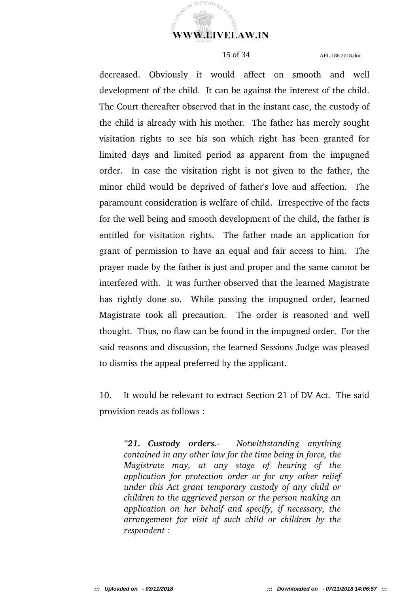COURT OF JUDICATURE **WWW.LIVELAW.IN** 

15 of 34 APL.186.2018.doc

decreased. Obviously it would affect on smooth and well development of the child. It can be against the interest of the child. The Court thereafter observed that in the instant case, the custody of the child is already with his mother. The father has merely sought visitation rights to see his son which right has been granted for limited days and limited period as apparent from the impugned order. In case the visitation right is not given to the father, the minor child would be deprived of father's love and affection. The paramount consideration is welfare of child. Irrespective of the facts for the well being and smooth development of the child, the father is entitled for visitation rights. The father made an application for grant of permission to have an equal and fair access to him. The prayer made by the father is just and proper and the same cannot be interfered with. It was further observed that the learned Magistrate has rightly done so. While passing the impugned order, learned Magistrate took all precaution. The order is reasoned and well thought. Thus, no flaw can be found in the impugned order. For the said reasons and discussion, the learned Sessions Judge was pleased to dismiss the appeal preferred by the applicant.

10. It would be relevant to extract Section 21 of DV Act. The said provision reads as follows :

*"21. Custody orders. Notwithstanding anything contained in any other law for the time being in force, the Magistrate may, at any stage of hearing of the application for protection order or for any other relief under this Act grant temporary custody of any child or children to the aggrieved person or the person making an application on her behalf and specify, if necessary, the arrangement for visit of such child or children by the respondent :*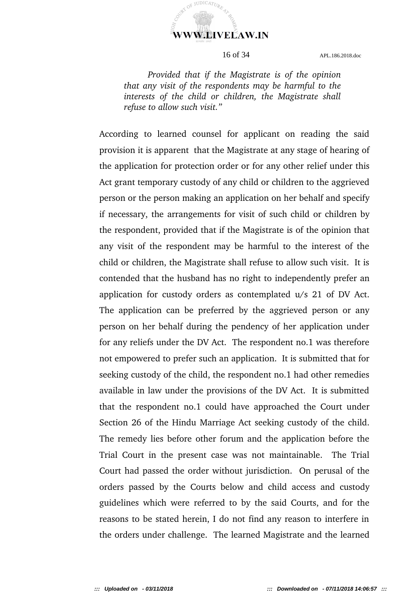

*Provided that if the Magistrate is of the opinion that any visit of the respondents may be harmful to the interests of the child or children, the Magistrate shall refuse to allow such visit."*

According to learned counsel for applicant on reading the said provision it is apparent that the Magistrate at any stage of hearing of the application for protection order or for any other relief under this Act grant temporary custody of any child or children to the aggrieved person or the person making an application on her behalf and specify if necessary, the arrangements for visit of such child or children by the respondent, provided that if the Magistrate is of the opinion that any visit of the respondent may be harmful to the interest of the child or children, the Magistrate shall refuse to allow such visit. It is contended that the husband has no right to independently prefer an application for custody orders as contemplated u/s 21 of DV Act. The application can be preferred by the aggrieved person or any person on her behalf during the pendency of her application under for any reliefs under the DV Act. The respondent no.1 was therefore not empowered to prefer such an application. It is submitted that for seeking custody of the child, the respondent no.1 had other remedies available in law under the provisions of the DV Act. It is submitted that the respondent no.1 could have approached the Court under Section 26 of the Hindu Marriage Act seeking custody of the child. The remedy lies before other forum and the application before the Trial Court in the present case was not maintainable. The Trial Court had passed the order without jurisdiction. On perusal of the orders passed by the Courts below and child access and custody guidelines which were referred to by the said Courts, and for the reasons to be stated herein, I do not find any reason to interfere in the orders under challenge. The learned Magistrate and the learned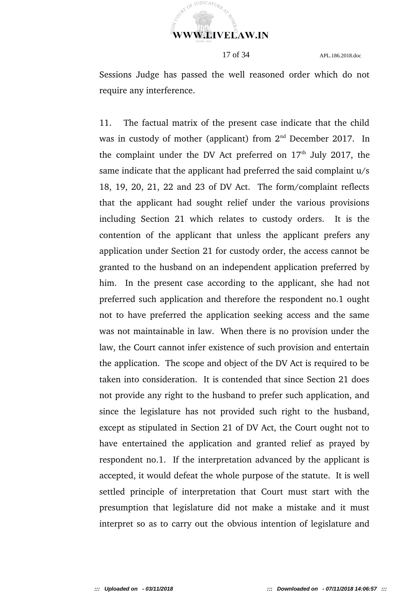

Sessions Judge has passed the well reasoned order which do not require any interference.

11. The factual matrix of the present case indicate that the child was in custody of mother (applicant) from  $2<sup>nd</sup>$  December 2017. In the complaint under the DV Act preferred on  $17<sup>th</sup>$  July 2017, the same indicate that the applicant had preferred the said complaint  $u/s$ 18, 19, 20, 21, 22 and 23 of DV Act. The form/complaint reflects that the applicant had sought relief under the various provisions including Section 21 which relates to custody orders. It is the contention of the applicant that unless the applicant prefers any application under Section 21 for custody order, the access cannot be granted to the husband on an independent application preferred by him. In the present case according to the applicant, she had not preferred such application and therefore the respondent no.1 ought not to have preferred the application seeking access and the same was not maintainable in law. When there is no provision under the law, the Court cannot infer existence of such provision and entertain the application. The scope and object of the DV Act is required to be taken into consideration. It is contended that since Section 21 does not provide any right to the husband to prefer such application, and since the legislature has not provided such right to the husband, except as stipulated in Section 21 of DV Act, the Court ought not to have entertained the application and granted relief as prayed by respondent no.1. If the interpretation advanced by the applicant is accepted, it would defeat the whole purpose of the statute. It is well settled principle of interpretation that Court must start with the presumption that legislature did not make a mistake and it must interpret so as to carry out the obvious intention of legislature and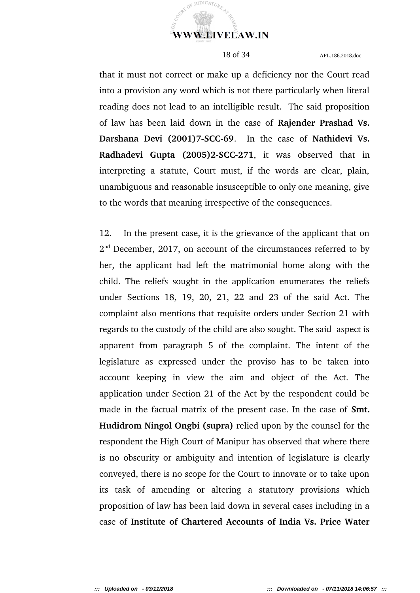

that it must not correct or make up a deficiency nor the Court read into a provision any word which is not there particularly when literal reading does not lead to an intelligible result. The said proposition of law has been laid down in the case of **Rajender Prashad Vs. Darshana Devi (2001)7-SCC-69.** In the case of Nathidevi Vs. **Radhadevi Gupta (2005)2-SCC-271**, it was observed that in interpreting a statute, Court must, if the words are clear, plain, unambiguous and reasonable insusceptible to only one meaning, give to the words that meaning irrespective of the consequences.

12. In the present case, it is the grievance of the applicant that on  $2<sup>nd</sup>$  December, 2017, on account of the circumstances referred to by her, the applicant had left the matrimonial home along with the child. The reliefs sought in the application enumerates the reliefs under Sections 18, 19, 20, 21, 22 and 23 of the said Act. The complaint also mentions that requisite orders under Section 21 with regards to the custody of the child are also sought. The said aspect is apparent from paragraph 5 of the complaint. The intent of the legislature as expressed under the proviso has to be taken into account keeping in view the aim and object of the Act. The application under Section 21 of the Act by the respondent could be made in the factual matrix of the present case. In the case of **Smt. Hudidrom Ningol Ongbi (supra)** relied upon by the counsel for the respondent the High Court of Manipur has observed that where there is no obscurity or ambiguity and intention of legislature is clearly conveyed, there is no scope for the Court to innovate or to take upon its task of amending or altering a statutory provisions which proposition of law has been laid down in several cases including in a case of **Institute of Chartered Accounts of India Vs. Price Water**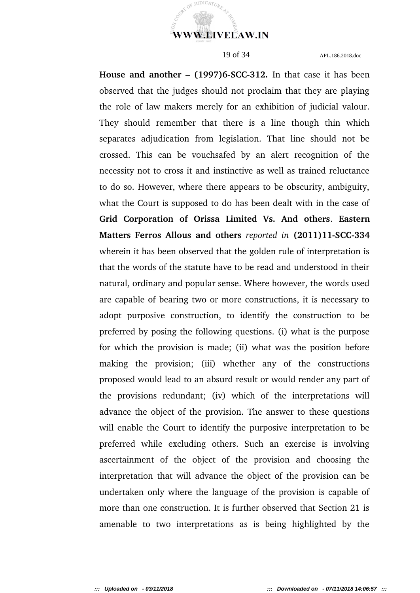**WWW.LIVELAW.IN** 

JUDICATUR.

 $O_{\tilde{E}}$ 

19 of 34 APL.186.2018.doc

**House and another - (1997)6-SCC-312.** In that case it has been observed that the judges should not proclaim that they are playing the role of law makers merely for an exhibition of judicial valour. They should remember that there is a line though thin which separates adjudication from legislation. That line should not be crossed. This can be vouchsafed by an alert recognition of the necessity not to cross it and instinctive as well as trained reluctance to do so. However, where there appears to be obscurity, ambiguity, what the Court is supposed to do has been dealt with in the case of **Grid Corporation of Orissa Limited Vs. And others**. **Eastern Matters Ferros Allous and others** reported in  $(2011)11-SCC-334$ wherein it has been observed that the golden rule of interpretation is that the words of the statute have to be read and understood in their natural, ordinary and popular sense. Where however, the words used are capable of bearing two or more constructions, it is necessary to adopt purposive construction, to identify the construction to be preferred by posing the following questions. (i) what is the purpose for which the provision is made; (ii) what was the position before making the provision; (iii) whether any of the constructions proposed would lead to an absurd result or would render any part of the provisions redundant; (iv) which of the interpretations will advance the object of the provision. The answer to these questions will enable the Court to identify the purposive interpretation to be preferred while excluding others. Such an exercise is involving ascertainment of the object of the provision and choosing the interpretation that will advance the object of the provision can be undertaken only where the language of the provision is capable of more than one construction. It is further observed that Section 21 is amenable to two interpretations as is being highlighted by the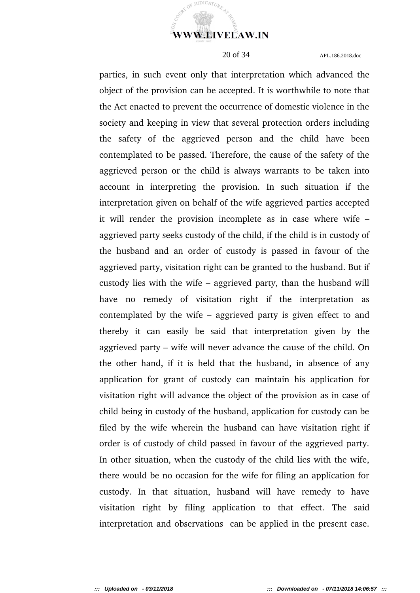

parties, in such event only that interpretation which advanced the object of the provision can be accepted. It is worthwhile to note that the Act enacted to prevent the occurrence of domestic violence in the society and keeping in view that several protection orders including the safety of the aggrieved person and the child have been contemplated to be passed. Therefore, the cause of the safety of the aggrieved person or the child is always warrants to be taken into account in interpreting the provision. In such situation if the interpretation given on behalf of the wife aggrieved parties accepted it will render the provision incomplete as in case where wife  $$ aggrieved party seeks custody of the child, if the child is in custody of the husband and an order of custody is passed in favour of the aggrieved party, visitation right can be granted to the husband. But if custody lies with the wife – aggrieved party, than the husband will have no remedy of visitation right if the interpretation as contemplated by the wife – aggrieved party is given effect to and thereby it can easily be said that interpretation given by the aggrieved party – wife will never advance the cause of the child. On the other hand, if it is held that the husband, in absence of any application for grant of custody can maintain his application for visitation right will advance the object of the provision as in case of child being in custody of the husband, application for custody can be filed by the wife wherein the husband can have visitation right if order is of custody of child passed in favour of the aggrieved party. In other situation, when the custody of the child lies with the wife, there would be no occasion for the wife for filing an application for custody. In that situation, husband will have remedy to have visitation right by filing application to that effect. The said interpretation and observations can be applied in the present case.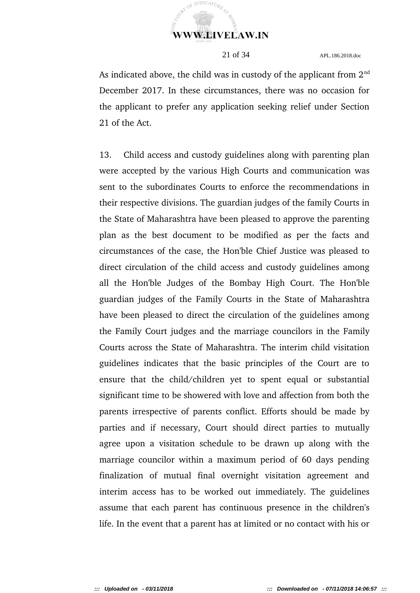

As indicated above, the child was in custody of the applicant from  $2<sup>nd</sup>$ December 2017. In these circumstances, there was no occasion for the applicant to prefer any application seeking relief under Section 21 of the Act.

13. Child access and custody guidelines along with parenting plan were accepted by the various High Courts and communication was sent to the subordinates Courts to enforce the recommendations in their respective divisions. The guardian judges of the family Courts in the State of Maharashtra have been pleased to approve the parenting plan as the best document to be modified as per the facts and circumstances of the case, the Hon'ble Chief Justice was pleased to direct circulation of the child access and custody guidelines among all the Hon'ble Judges of the Bombay High Court. The Hon'ble guardian judges of the Family Courts in the State of Maharashtra have been pleased to direct the circulation of the guidelines among the Family Court judges and the marriage councilors in the Family Courts across the State of Maharashtra. The interim child visitation guidelines indicates that the basic principles of the Court are to ensure that the child/children yet to spent equal or substantial significant time to be showered with love and affection from both the parents irrespective of parents conflict. Efforts should be made by parties and if necessary, Court should direct parties to mutually agree upon a visitation schedule to be drawn up along with the marriage councilor within a maximum period of 60 days pending finalization of mutual final overnight visitation agreement and interim access has to be worked out immediately. The guidelines assume that each parent has continuous presence in the children's life. In the event that a parent has at limited or no contact with his or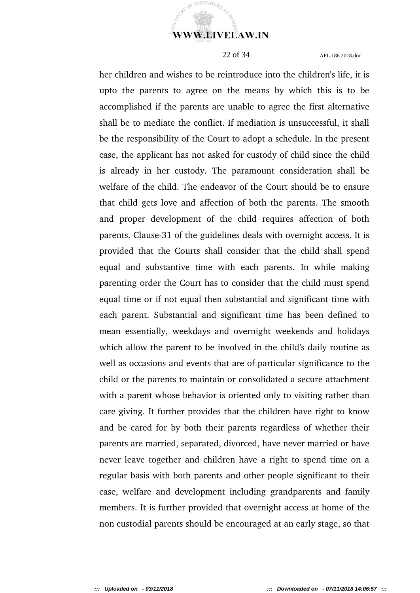

 $UDICAT$ 

 $\Omega$ 

22 of 34 APL.186.2018.doc

her children and wishes to be reintroduce into the children's life, it is upto the parents to agree on the means by which this is to be accomplished if the parents are unable to agree the first alternative shall be to mediate the conflict. If mediation is unsuccessful, it shall be the responsibility of the Court to adopt a schedule. In the present case, the applicant has not asked for custody of child since the child is already in her custody. The paramount consideration shall be welfare of the child. The endeavor of the Court should be to ensure that child gets love and affection of both the parents. The smooth and proper development of the child requires affection of both parents. Clause-31 of the guidelines deals with overnight access. It is provided that the Courts shall consider that the child shall spend equal and substantive time with each parents. In while making parenting order the Court has to consider that the child must spend equal time or if not equal then substantial and significant time with each parent. Substantial and significant time has been defined to mean essentially, weekdays and overnight weekends and holidays which allow the parent to be involved in the child's daily routine as well as occasions and events that are of particular significance to the child or the parents to maintain or consolidated a secure attachment with a parent whose behavior is oriented only to visiting rather than care giving. It further provides that the children have right to know and be cared for by both their parents regardless of whether their parents are married, separated, divorced, have never married or have never leave together and children have a right to spend time on a regular basis with both parents and other people significant to their case, welfare and development including grandparents and family members. It is further provided that overnight access at home of the non custodial parents should be encouraged at an early stage, so that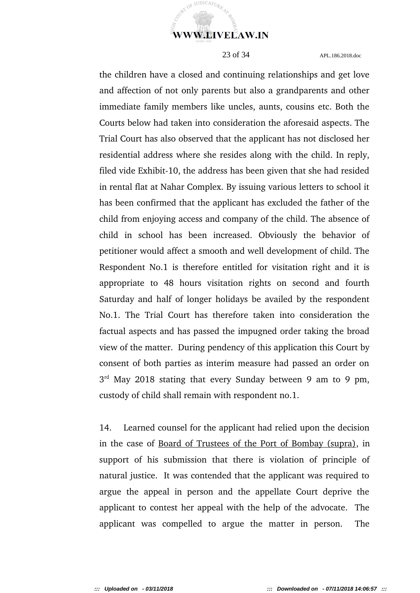

the children have a closed and continuing relationships and get love and affection of not only parents but also a grandparents and other immediate family members like uncles, aunts, cousins etc. Both the Courts below had taken into consideration the aforesaid aspects. The Trial Court has also observed that the applicant has not disclosed her residential address where she resides along with the child. In reply, filed vide Exhibit-10, the address has been given that she had resided in rental flat at Nahar Complex. By issuing various letters to school it has been confirmed that the applicant has excluded the father of the child from enjoying access and company of the child. The absence of child in school has been increased. Obviously the behavior of petitioner would affect a smooth and well development of child. The Respondent No.1 is therefore entitled for visitation right and it is appropriate to 48 hours visitation rights on second and fourth Saturday and half of longer holidays be availed by the respondent No.1. The Trial Court has therefore taken into consideration the factual aspects and has passed the impugned order taking the broad view of the matter. During pendency of this application this Court by consent of both parties as interim measure had passed an order on  $3<sup>rd</sup>$  May 2018 stating that every Sunday between 9 am to 9 pm, custody of child shall remain with respondent no.1.

14. Learned counsel for the applicant had relied upon the decision in the case of Board of Trustees of the Port of Bombay (supra), in support of his submission that there is violation of principle of natural justice. It was contended that the applicant was required to argue the appeal in person and the appellate Court deprive the applicant to contest her appeal with the help of the advocate. The applicant was compelled to argue the matter in person. The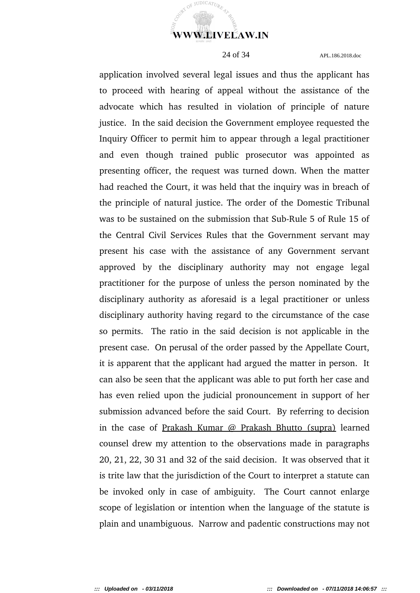

JUDICATUR

24 of 34 APL.186.2018.doc

application involved several legal issues and thus the applicant has to proceed with hearing of appeal without the assistance of the advocate which has resulted in violation of principle of nature justice. In the said decision the Government employee requested the Inquiry Officer to permit him to appear through a legal practitioner and even though trained public prosecutor was appointed as presenting officer, the request was turned down. When the matter had reached the Court, it was held that the inquiry was in breach of the principle of natural justice. The order of the Domestic Tribunal was to be sustained on the submission that Sub-Rule 5 of Rule 15 of the Central Civil Services Rules that the Government servant may present his case with the assistance of any Government servant approved by the disciplinary authority may not engage legal practitioner for the purpose of unless the person nominated by the disciplinary authority as aforesaid is a legal practitioner or unless disciplinary authority having regard to the circumstance of the case so permits. The ratio in the said decision is not applicable in the present case. On perusal of the order passed by the Appellate Court, it is apparent that the applicant had argued the matter in person. It can also be seen that the applicant was able to put forth her case and has even relied upon the judicial pronouncement in support of her submission advanced before the said Court. By referring to decision in the case of Prakash Kumar @ Prakash Bhutto (supra) learned counsel drew my attention to the observations made in paragraphs 20, 21, 22, 30 31 and 32 of the said decision. It was observed that it is trite law that the jurisdiction of the Court to interpret a statute can be invoked only in case of ambiguity. The Court cannot enlarge scope of legislation or intention when the language of the statute is plain and unambiguous. Narrow and padentic constructions may not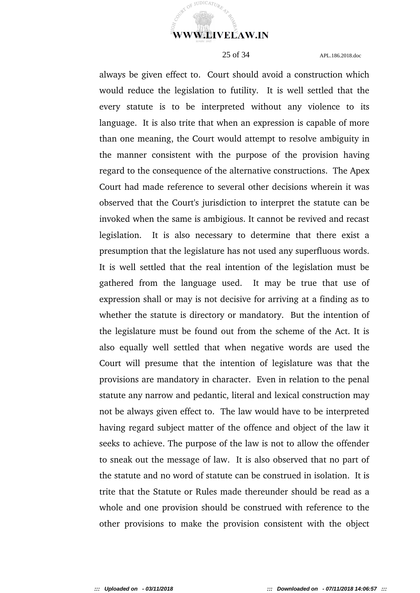

JUDICAT<sub>II</sub>

 $\Omega$ 

25 of 34 APL.186.2018.doc

always be given effect to. Court should avoid a construction which would reduce the legislation to futility. It is well settled that the every statute is to be interpreted without any violence to its language. It is also trite that when an expression is capable of more than one meaning, the Court would attempt to resolve ambiguity in the manner consistent with the purpose of the provision having regard to the consequence of the alternative constructions. The Apex Court had made reference to several other decisions wherein it was observed that the Court's jurisdiction to interpret the statute can be invoked when the same is ambigious. It cannot be revived and recast legislation. It is also necessary to determine that there exist a presumption that the legislature has not used any superfluous words. It is well settled that the real intention of the legislation must be gathered from the language used. It may be true that use of expression shall or may is not decisive for arriving at a finding as to whether the statute is directory or mandatory. But the intention of the legislature must be found out from the scheme of the Act. It is also equally well settled that when negative words are used the Court will presume that the intention of legislature was that the provisions are mandatory in character. Even in relation to the penal statute any narrow and pedantic, literal and lexical construction may not be always given effect to. The law would have to be interpreted having regard subject matter of the offence and object of the law it seeks to achieve. The purpose of the law is not to allow the offender to sneak out the message of law. It is also observed that no part of the statute and no word of statute can be construed in isolation. It is trite that the Statute or Rules made thereunder should be read as a whole and one provision should be construed with reference to the other provisions to make the provision consistent with the object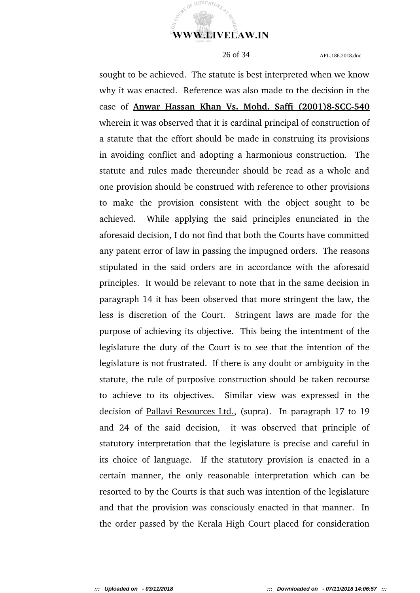

sought to be achieved. The statute is best interpreted when we know why it was enacted. Reference was also made to the decision in the case of Anwar Hassan Khan Vs. Mohd. Saffi (2001)8-SCC-540 wherein it was observed that it is cardinal principal of construction of a statute that the effort should be made in construing its provisions in avoiding conflict and adopting a harmonious construction. The statute and rules made thereunder should be read as a whole and one provision should be construed with reference to other provisions to make the provision consistent with the object sought to be achieved. While applying the said principles enunciated in the aforesaid decision, I do not find that both the Courts have committed any patent error of law in passing the impugned orders. The reasons stipulated in the said orders are in accordance with the aforesaid principles. It would be relevant to note that in the same decision in paragraph 14 it has been observed that more stringent the law, the less is discretion of the Court. Stringent laws are made for the purpose of achieving its objective. This being the intentment of the legislature the duty of the Court is to see that the intention of the legislature is not frustrated. If there is any doubt or ambiguity in the statute, the rule of purposive construction should be taken recourse to achieve to its objectives. Similar view was expressed in the decision of Pallavi Resources Ltd., (supra). In paragraph 17 to 19 and 24 of the said decision, it was observed that principle of statutory interpretation that the legislature is precise and careful in its choice of language. If the statutory provision is enacted in a certain manner, the only reasonable interpretation which can be resorted to by the Courts is that such was intention of the legislature and that the provision was consciously enacted in that manner. In the order passed by the Kerala High Court placed for consideration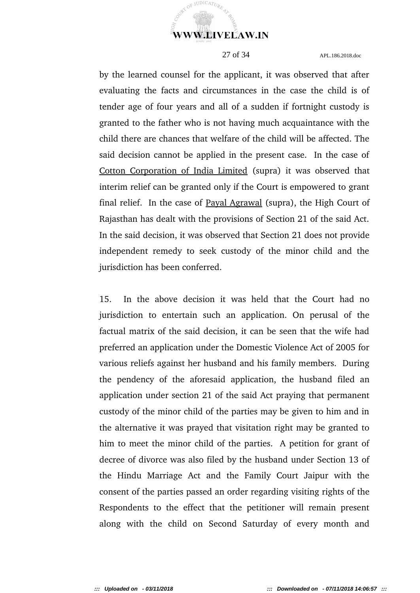

by the learned counsel for the applicant, it was observed that after evaluating the facts and circumstances in the case the child is of tender age of four years and all of a sudden if fortnight custody is granted to the father who is not having much acquaintance with the child there are chances that welfare of the child will be affected. The said decision cannot be applied in the present case. In the case of Cotton Corporation of India Limited (supra) it was observed that interim relief can be granted only if the Court is empowered to grant final relief. In the case of Payal Agrawal (supra), the High Court of Rajasthan has dealt with the provisions of Section 21 of the said Act. In the said decision, it was observed that Section 21 does not provide independent remedy to seek custody of the minor child and the jurisdiction has been conferred.

15. In the above decision it was held that the Court had no jurisdiction to entertain such an application. On perusal of the factual matrix of the said decision, it can be seen that the wife had preferred an application under the Domestic Violence Act of 2005 for various reliefs against her husband and his family members. During the pendency of the aforesaid application, the husband filed an application under section 21 of the said Act praying that permanent custody of the minor child of the parties may be given to him and in the alternative it was prayed that visitation right may be granted to him to meet the minor child of the parties. A petition for grant of decree of divorce was also filed by the husband under Section 13 of the Hindu Marriage Act and the Family Court Jaipur with the consent of the parties passed an order regarding visiting rights of the Respondents to the effect that the petitioner will remain present along with the child on Second Saturday of every month and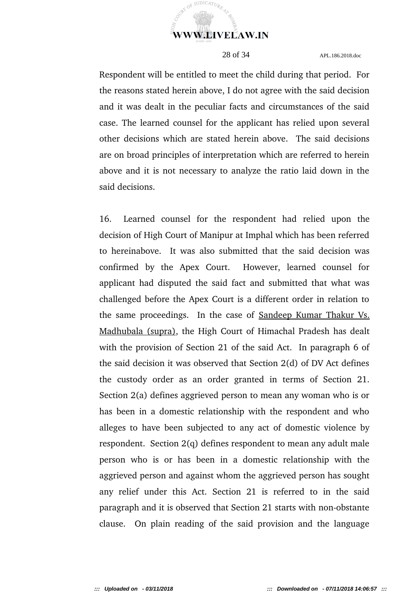

Respondent will be entitled to meet the child during that period. For the reasons stated herein above, I do not agree with the said decision and it was dealt in the peculiar facts and circumstances of the said case. The learned counsel for the applicant has relied upon several other decisions which are stated herein above. The said decisions are on broad principles of interpretation which are referred to herein above and it is not necessary to analyze the ratio laid down in the said decisions.

16. Learned counsel for the respondent had relied upon the decision of High Court of Manipur at Imphal which has been referred to hereinabove. It was also submitted that the said decision was confirmed by the Apex Court. However, learned counsel for applicant had disputed the said fact and submitted that what was challenged before the Apex Court is a different order in relation to the same proceedings. In the case of Sandeep Kumar Thakur Vs. Madhubala (supra), the High Court of Himachal Pradesh has dealt with the provision of Section 21 of the said Act. In paragraph 6 of the said decision it was observed that Section 2(d) of DV Act defines the custody order as an order granted in terms of Section 21. Section 2(a) defines aggrieved person to mean any woman who is or has been in a domestic relationship with the respondent and who alleges to have been subjected to any act of domestic violence by respondent. Section 2(q) defines respondent to mean any adult male person who is or has been in a domestic relationship with the aggrieved person and against whom the aggrieved person has sought any relief under this Act. Section 21 is referred to in the said paragraph and it is observed that Section 21 starts with non-obstante clause. On plain reading of the said provision and the language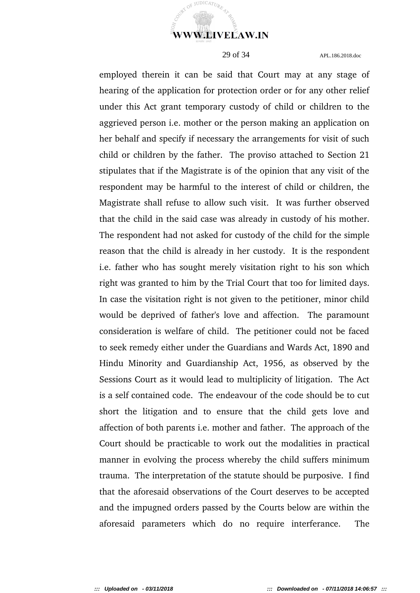

employed therein it can be said that Court may at any stage of hearing of the application for protection order or for any other relief under this Act grant temporary custody of child or children to the aggrieved person i.e. mother or the person making an application on her behalf and specify if necessary the arrangements for visit of such child or children by the father. The proviso attached to Section 21 stipulates that if the Magistrate is of the opinion that any visit of the respondent may be harmful to the interest of child or children, the Magistrate shall refuse to allow such visit. It was further observed that the child in the said case was already in custody of his mother. The respondent had not asked for custody of the child for the simple reason that the child is already in her custody. It is the respondent i.e. father who has sought merely visitation right to his son which right was granted to him by the Trial Court that too for limited days. In case the visitation right is not given to the petitioner, minor child would be deprived of father's love and affection. The paramount consideration is welfare of child. The petitioner could not be faced to seek remedy either under the Guardians and Wards Act, 1890 and Hindu Minority and Guardianship Act, 1956, as observed by the Sessions Court as it would lead to multiplicity of litigation. The Act is a self contained code. The endeavour of the code should be to cut short the litigation and to ensure that the child gets love and affection of both parents i.e. mother and father. The approach of the Court should be practicable to work out the modalities in practical manner in evolving the process whereby the child suffers minimum trauma. The interpretation of the statute should be purposive. I find that the aforesaid observations of the Court deserves to be accepted and the impugned orders passed by the Courts below are within the aforesaid parameters which do no require interferance. The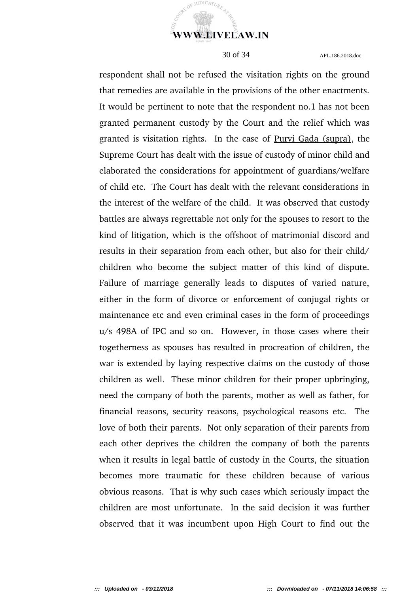

respondent shall not be refused the visitation rights on the ground that remedies are available in the provisions of the other enactments. It would be pertinent to note that the respondent no.1 has not been granted permanent custody by the Court and the relief which was granted is visitation rights. In the case of Purvi Gada (supra), the Supreme Court has dealt with the issue of custody of minor child and elaborated the considerations for appointment of guardians/welfare of child etc. The Court has dealt with the relevant considerations in the interest of the welfare of the child. It was observed that custody battles are always regrettable not only for the spouses to resort to the kind of litigation, which is the offshoot of matrimonial discord and results in their separation from each other, but also for their child/ children who become the subject matter of this kind of dispute. Failure of marriage generally leads to disputes of varied nature, either in the form of divorce or enforcement of conjugal rights or maintenance etc and even criminal cases in the form of proceedings u/s 498A of IPC and so on. However, in those cases where their togetherness as spouses has resulted in procreation of children, the war is extended by laying respective claims on the custody of those children as well. These minor children for their proper upbringing, need the company of both the parents, mother as well as father, for financial reasons, security reasons, psychological reasons etc. The love of both their parents. Not only separation of their parents from each other deprives the children the company of both the parents when it results in legal battle of custody in the Courts, the situation becomes more traumatic for these children because of various obvious reasons. That is why such cases which seriously impact the children are most unfortunate. In the said decision it was further observed that it was incumbent upon High Court to find out the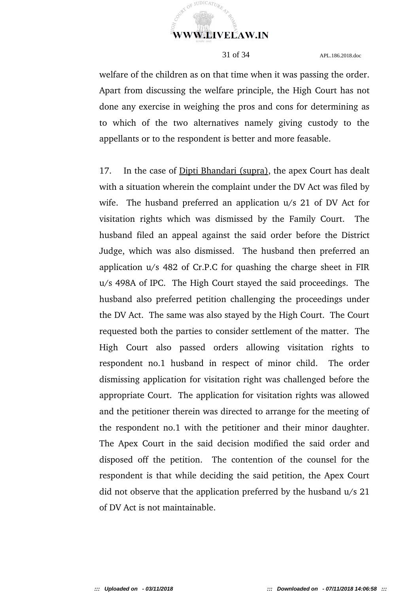

welfare of the children as on that time when it was passing the order. Apart from discussing the welfare principle, the High Court has not done any exercise in weighing the pros and cons for determining as to which of the two alternatives namely giving custody to the appellants or to the respondent is better and more feasable.

17. In the case of Dipti Bhandari (supra), the apex Court has dealt with a situation wherein the complaint under the DV Act was filed by wife. The husband preferred an application u/s 21 of DV Act for visitation rights which was dismissed by the Family Court. The husband filed an appeal against the said order before the District Judge, which was also dismissed. The husband then preferred an application u/s 482 of Cr.P.C for quashing the charge sheet in FIR u/s 498A of IPC. The High Court stayed the said proceedings. The husband also preferred petition challenging the proceedings under the DV Act. The same was also stayed by the High Court. The Court requested both the parties to consider settlement of the matter. The High Court also passed orders allowing visitation rights to respondent no.1 husband in respect of minor child. The order dismissing application for visitation right was challenged before the appropriate Court. The application for visitation rights was allowed and the petitioner therein was directed to arrange for the meeting of the respondent no.1 with the petitioner and their minor daughter. The Apex Court in the said decision modified the said order and disposed off the petition. The contention of the counsel for the respondent is that while deciding the said petition, the Apex Court did not observe that the application preferred by the husband u/s 21 of DV Act is not maintainable.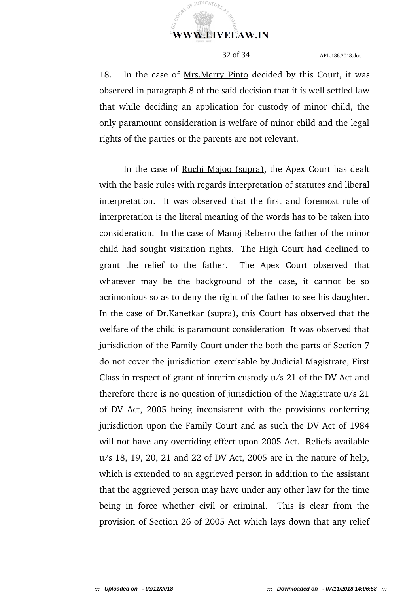

18. In the case of Mrs.Merry Pinto decided by this Court, it was observed in paragraph 8 of the said decision that it is well settled law that while deciding an application for custody of minor child, the only paramount consideration is welfare of minor child and the legal rights of the parties or the parents are not relevant.

In the case of Ruchi Majoo (supra), the Apex Court has dealt with the basic rules with regards interpretation of statutes and liberal interpretation. It was observed that the first and foremost rule of interpretation is the literal meaning of the words has to be taken into consideration. In the case of Manoj Reberro the father of the minor child had sought visitation rights. The High Court had declined to grant the relief to the father. The Apex Court observed that whatever may be the background of the case, it cannot be so acrimonious so as to deny the right of the father to see his daughter. In the case of **Dr.Kanetkar** (supra), this Court has observed that the welfare of the child is paramount consideration It was observed that jurisdiction of the Family Court under the both the parts of Section 7 do not cover the jurisdiction exercisable by Judicial Magistrate, First Class in respect of grant of interim custody u/s 21 of the DV Act and therefore there is no question of jurisdiction of the Magistrate u/s 21 of DV Act, 2005 being inconsistent with the provisions conferring jurisdiction upon the Family Court and as such the DV Act of 1984 will not have any overriding effect upon 2005 Act. Reliefs available u/s 18, 19, 20, 21 and 22 of DV Act, 2005 are in the nature of help, which is extended to an aggrieved person in addition to the assistant that the aggrieved person may have under any other law for the time being in force whether civil or criminal. This is clear from the provision of Section 26 of 2005 Act which lays down that any relief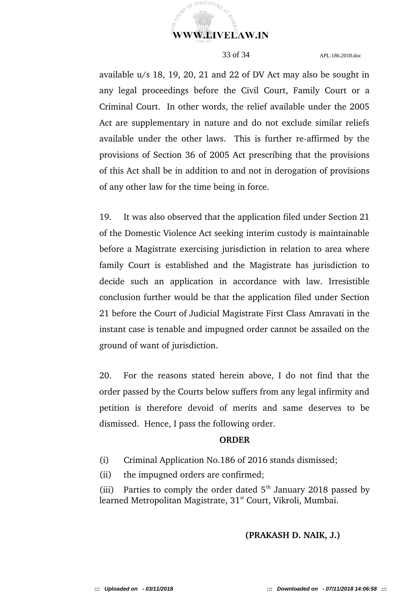

available u/s 18, 19, 20, 21 and 22 of DV Act may also be sought in any legal proceedings before the Civil Court, Family Court or a Criminal Court. In other words, the relief available under the 2005 Act are supplementary in nature and do not exclude similar reliefs available under the other laws. This is further re-affirmed by the provisions of Section 36 of 2005 Act prescribing that the provisions of this Act shall be in addition to and not in derogation of provisions of any other law for the time being in force.

19. It was also observed that the application filed under Section 21 of the Domestic Violence Act seeking interim custody is maintainable before a Magistrate exercising jurisdiction in relation to area where family Court is established and the Magistrate has jurisdiction to decide such an application in accordance with law. Irresistible conclusion further would be that the application filed under Section 21 before the Court of Judicial Magistrate First Class Amravati in the instant case is tenable and impugned order cannot be assailed on the ground of want of jurisdiction.

20. For the reasons stated herein above, I do not find that the order passed by the Courts below suffers from any legal infirmity and petition is therefore devoid of merits and same deserves to be dismissed. Hence, I pass the following order.

### **ORDER**

(i) Criminal Application No.186 of 2016 stands dismissed;

(ii) the impugned orders are confirmed;

(iii) Parties to comply the order dated  $5<sup>th</sup>$  January 2018 passed by learned Metropolitan Magistrate, 31<sup>st</sup> Court, Vikroli, Mumbai.

**(PRAKASH D. NAIK, J.)**